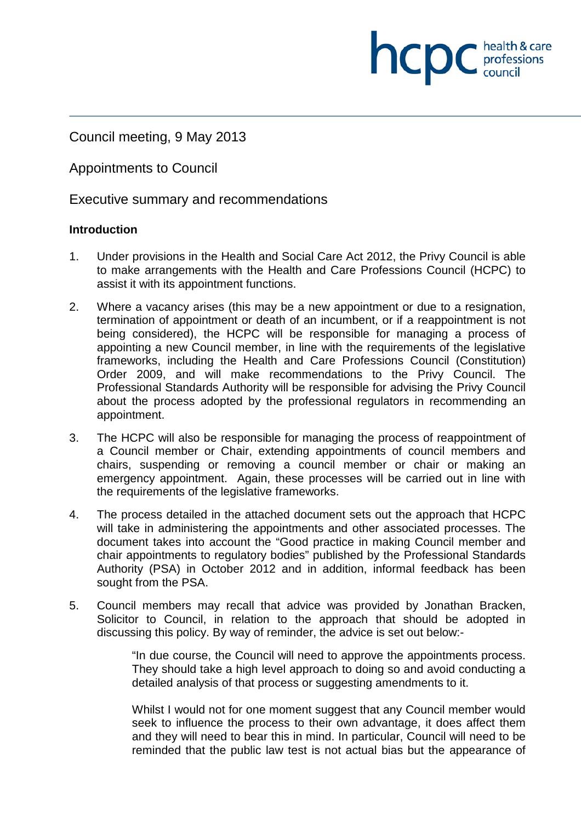Council meeting, 9 May 2013

Appointments to Council

Executive summary and recommendations

#### **Introduction**

1. Under provisions in the Health and Social Care Act 2012, the Privy Council is able to make arrangements with the Health and Care Professions Council (HCPC) to assist it with its appointment functions.

**NCDC** health & care

- 2. Where a vacancy arises (this may be a new appointment or due to a resignation, termination of appointment or death of an incumbent, or if a reappointment is not being considered), the HCPC will be responsible for managing a process of appointing a new Council member, in line with the requirements of the legislative frameworks, including the Health and Care Professions Council (Constitution) Order 2009, and will make recommendations to the Privy Council. The Professional Standards Authority will be responsible for advising the Privy Council about the process adopted by the professional regulators in recommending an appointment.
- 3. The HCPC will also be responsible for managing the process of reappointment of a Council member or Chair, extending appointments of council members and chairs, suspending or removing a council member or chair or making an emergency appointment. Again, these processes will be carried out in line with the requirements of the legislative frameworks.
- 4. The process detailed in the attached document sets out the approach that HCPC will take in administering the appointments and other associated processes. The document takes into account the "Good practice in making Council member and chair appointments to regulatory bodies" published by the Professional Standards Authority (PSA) in October 2012 and in addition, informal feedback has been sought from the PSA.
- 5. Council members may recall that advice was provided by Jonathan Bracken, Solicitor to Council, in relation to the approach that should be adopted in discussing this policy. By way of reminder, the advice is set out below:-

"In due course, the Council will need to approve the appointments process. They should take a high level approach to doing so and avoid conducting a detailed analysis of that process or suggesting amendments to it.

Whilst I would not for one moment suggest that any Council member would seek to influence the process to their own advantage, it does affect them and they will need to bear this in mind. In particular, Council will need to be reminded that the public law test is not actual bias but the appearance of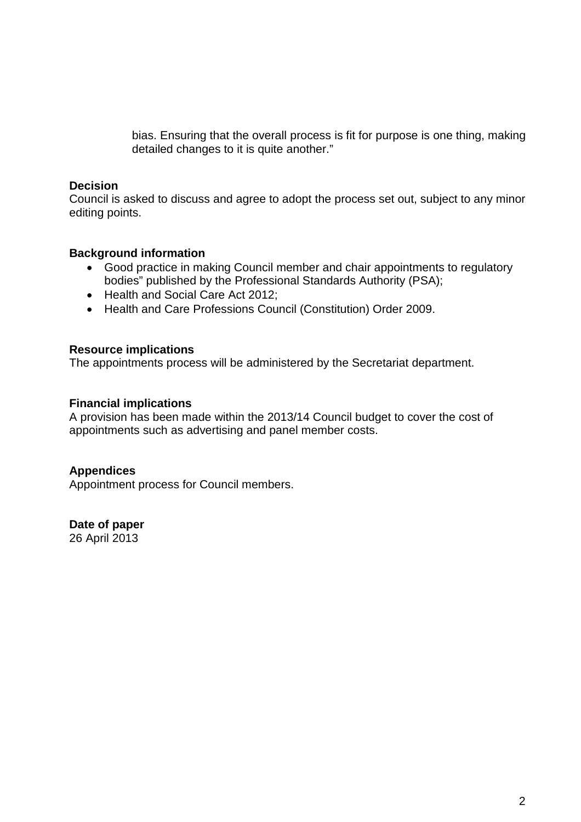bias. Ensuring that the overall process is fit for purpose is one thing, making detailed changes to it is quite another."

#### **Decision**

Council is asked to discuss and agree to adopt the process set out, subject to any minor editing points.

#### **Background information**

- Good practice in making Council member and chair appointments to regulatory bodies" published by the Professional Standards Authority (PSA);
- Health and Social Care Act 2012;
- Health and Care Professions Council (Constitution) Order 2009.

#### **Resource implications**

The appointments process will be administered by the Secretariat department.

#### **Financial implications**

A provision has been made within the 2013/14 Council budget to cover the cost of appointments such as advertising and panel member costs.

#### **Appendices**

Appointment process for Council members.

#### **Date of paper**

26 April 2013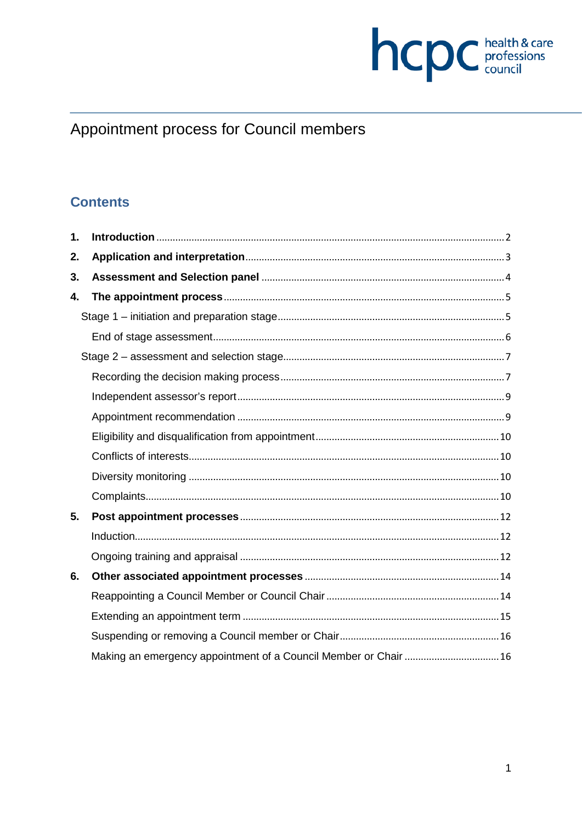

# Appointment process for Council members

# **Contents**

| 1. |                                                                  |  |
|----|------------------------------------------------------------------|--|
| 2. |                                                                  |  |
| 3. |                                                                  |  |
| 4. |                                                                  |  |
|    |                                                                  |  |
|    |                                                                  |  |
|    |                                                                  |  |
|    |                                                                  |  |
|    |                                                                  |  |
|    |                                                                  |  |
|    |                                                                  |  |
|    |                                                                  |  |
|    |                                                                  |  |
|    |                                                                  |  |
| 5. |                                                                  |  |
|    |                                                                  |  |
|    |                                                                  |  |
| 6. |                                                                  |  |
|    |                                                                  |  |
|    |                                                                  |  |
|    |                                                                  |  |
|    | Making an emergency appointment of a Council Member or Chair  16 |  |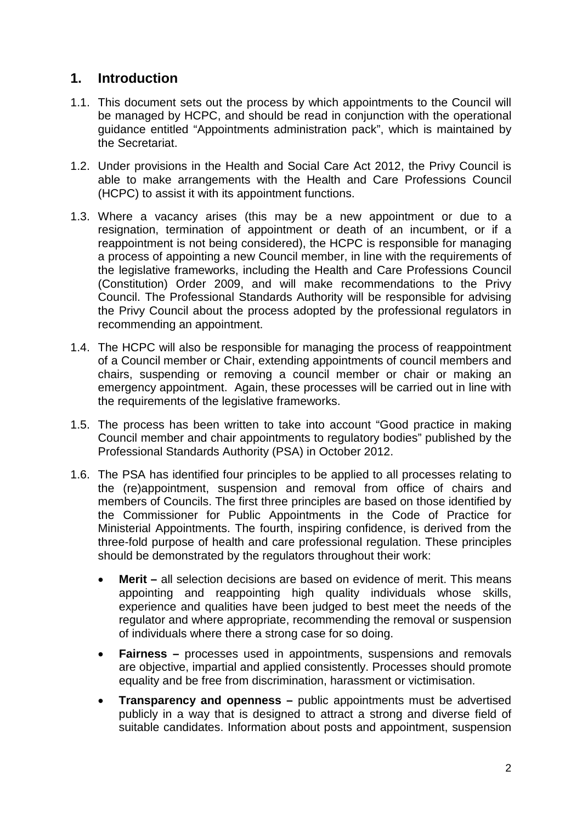# **1. Introduction**

- 1.1. This document sets out the process by which appointments to the Council will be managed by HCPC, and should be read in conjunction with the operational guidance entitled "Appointments administration pack", which is maintained by the Secretariat.
- 1.2. Under provisions in the Health and Social Care Act 2012, the Privy Council is able to make arrangements with the Health and Care Professions Council (HCPC) to assist it with its appointment functions.
- 1.3. Where a vacancy arises (this may be a new appointment or due to a resignation, termination of appointment or death of an incumbent, or if a reappointment is not being considered), the HCPC is responsible for managing a process of appointing a new Council member, in line with the requirements of the legislative frameworks, including the Health and Care Professions Council (Constitution) Order 2009, and will make recommendations to the Privy Council. The Professional Standards Authority will be responsible for advising the Privy Council about the process adopted by the professional regulators in recommending an appointment.
- 1.4. The HCPC will also be responsible for managing the process of reappointment of a Council member or Chair, extending appointments of council members and chairs, suspending or removing a council member or chair or making an emergency appointment. Again, these processes will be carried out in line with the requirements of the legislative frameworks.
- 1.5. The process has been written to take into account "Good practice in making Council member and chair appointments to regulatory bodies" published by the Professional Standards Authority (PSA) in October 2012.
- 1.6. The PSA has identified four principles to be applied to all processes relating to the (re)appointment, suspension and removal from office of chairs and members of Councils. The first three principles are based on those identified by the Commissioner for Public Appointments in the Code of Practice for Ministerial Appointments. The fourth, inspiring confidence, is derived from the three-fold purpose of health and care professional regulation. These principles should be demonstrated by the regulators throughout their work:
	- **Merit –** all selection decisions are based on evidence of merit. This means appointing and reappointing high quality individuals whose skills, experience and qualities have been judged to best meet the needs of the regulator and where appropriate, recommending the removal or suspension of individuals where there a strong case for so doing.
	- **Fairness –** processes used in appointments, suspensions and removals are objective, impartial and applied consistently. Processes should promote equality and be free from discrimination, harassment or victimisation.
	- **Transparency and openness –** public appointments must be advertised publicly in a way that is designed to attract a strong and diverse field of suitable candidates. Information about posts and appointment, suspension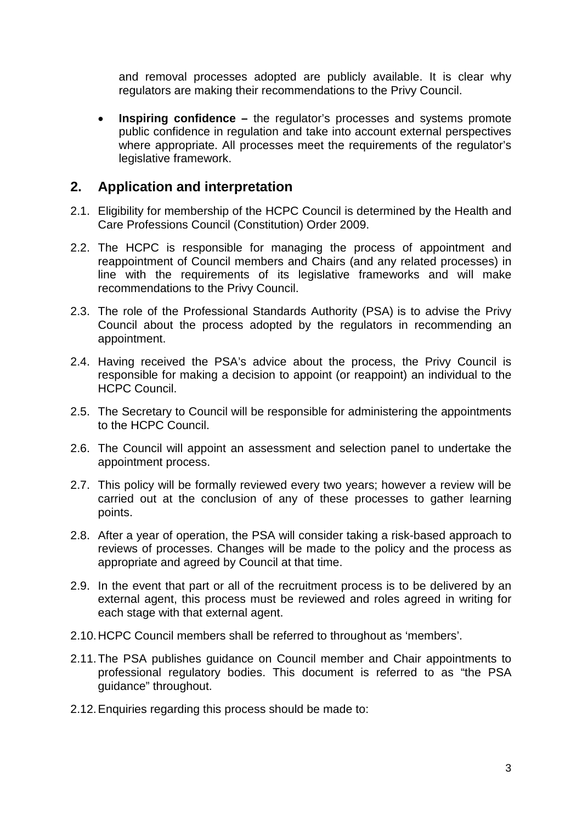and removal processes adopted are publicly available. It is clear why regulators are making their recommendations to the Privy Council.

**Inspiring confidence** – the regulator's processes and systems promote public confidence in regulation and take into account external perspectives where appropriate. All processes meet the requirements of the regulator's legislative framework.

## **2. Application and interpretation**

- 2.1. Eligibility for membership of the HCPC Council is determined by the Health and Care Professions Council (Constitution) Order 2009.
- 2.2. The HCPC is responsible for managing the process of appointment and reappointment of Council members and Chairs (and any related processes) in line with the requirements of its legislative frameworks and will make recommendations to the Privy Council.
- 2.3. The role of the Professional Standards Authority (PSA) is to advise the Privy Council about the process adopted by the regulators in recommending an appointment.
- 2.4. Having received the PSA's advice about the process, the Privy Council is responsible for making a decision to appoint (or reappoint) an individual to the HCPC Council.
- 2.5. The Secretary to Council will be responsible for administering the appointments to the HCPC Council.
- 2.6. The Council will appoint an assessment and selection panel to undertake the appointment process.
- 2.7. This policy will be formally reviewed every two years; however a review will be carried out at the conclusion of any of these processes to gather learning points.
- 2.8. After a year of operation, the PSA will consider taking a risk-based approach to reviews of processes. Changes will be made to the policy and the process as appropriate and agreed by Council at that time.
- 2.9. In the event that part or all of the recruitment process is to be delivered by an external agent, this process must be reviewed and roles agreed in writing for each stage with that external agent.
- 2.10.HCPC Council members shall be referred to throughout as 'members'.
- 2.11.The PSA publishes guidance on Council member and Chair appointments to professional regulatory bodies. This document is referred to as "the PSA guidance" throughout.
- 2.12.Enquiries regarding this process should be made to: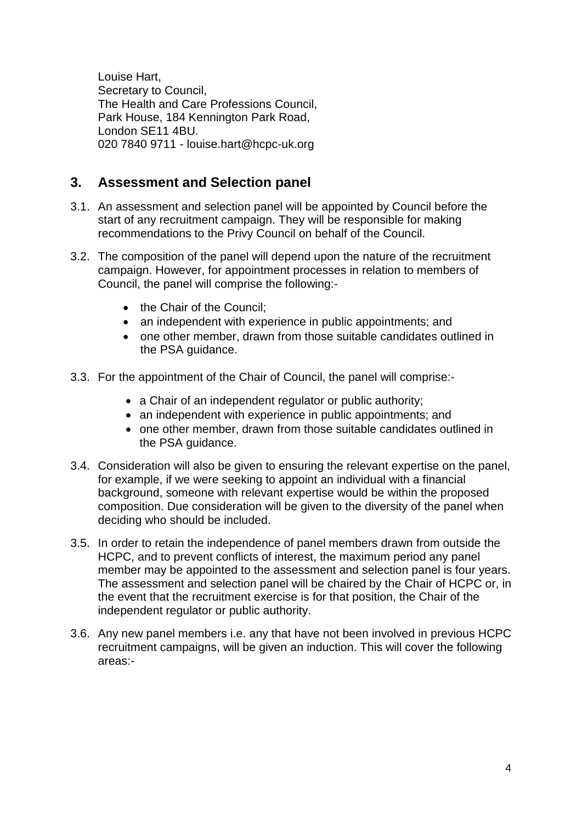Louise Hart, Secretary to Council, The Health and Care Professions Council, Park House, 184 Kennington Park Road, London SE11 4BU. 020 7840 9711 - louise.hart@hcpc-uk.org

# **3. Assessment and Selection panel**

- 3.1. An assessment and selection panel will be appointed by Council before the start of any recruitment campaign. They will be responsible for making recommendations to the Privy Council on behalf of the Council.
- 3.2. The composition of the panel will depend upon the nature of the recruitment campaign. However, for appointment processes in relation to members of Council, the panel will comprise the following:-
	- the Chair of the Council:
	- an independent with experience in public appointments; and
	- one other member, drawn from those suitable candidates outlined in the PSA guidance.
- 3.3. For the appointment of the Chair of Council, the panel will comprise:-
	- a Chair of an independent regulator or public authority;
	- an independent with experience in public appointments; and
	- one other member, drawn from those suitable candidates outlined in the PSA guidance.
- 3.4. Consideration will also be given to ensuring the relevant expertise on the panel, for example, if we were seeking to appoint an individual with a financial background, someone with relevant expertise would be within the proposed composition. Due consideration will be given to the diversity of the panel when deciding who should be included.
- 3.5. In order to retain the independence of panel members drawn from outside the HCPC, and to prevent conflicts of interest, the maximum period any panel member may be appointed to the assessment and selection panel is four years. The assessment and selection panel will be chaired by the Chair of HCPC or, in the event that the recruitment exercise is for that position, the Chair of the independent regulator or public authority.
- 3.6. Any new panel members i.e. any that have not been involved in previous HCPC recruitment campaigns, will be given an induction. This will cover the following areas:-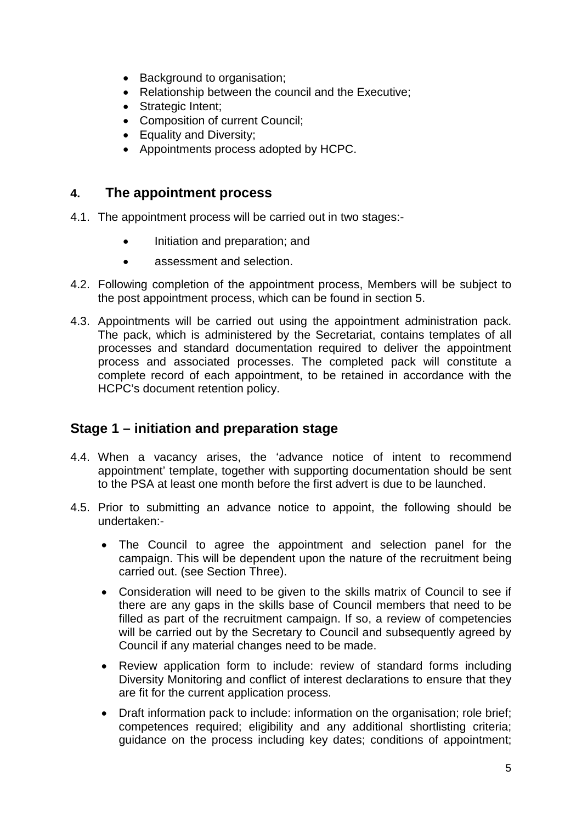- Background to organisation;
- Relationship between the council and the Executive;
- Strategic Intent;
- Composition of current Council;
- Equality and Diversity;
- Appointments process adopted by HCPC.

#### **4. The appointment process**

- 4.1. The appointment process will be carried out in two stages:-
	- Initiation and preparation; and
	- assessment and selection.
- 4.2. Following completion of the appointment process, Members will be subject to the post appointment process, which can be found in section 5.
- 4.3. Appointments will be carried out using the appointment administration pack. The pack, which is administered by the Secretariat, contains templates of all processes and standard documentation required to deliver the appointment process and associated processes. The completed pack will constitute a complete record of each appointment, to be retained in accordance with the HCPC's document retention policy.

# **Stage 1 – initiation and preparation stage**

- 4.4. When a vacancy arises, the 'advance notice of intent to recommend appointment' template, together with supporting documentation should be sent to the PSA at least one month before the first advert is due to be launched.
- 4.5. Prior to submitting an advance notice to appoint, the following should be undertaken:-
	- The Council to agree the appointment and selection panel for the campaign. This will be dependent upon the nature of the recruitment being carried out. (see Section Three).
	- Consideration will need to be given to the skills matrix of Council to see if there are any gaps in the skills base of Council members that need to be filled as part of the recruitment campaign. If so, a review of competencies will be carried out by the Secretary to Council and subsequently agreed by Council if any material changes need to be made.
	- Review application form to include: review of standard forms including Diversity Monitoring and conflict of interest declarations to ensure that they are fit for the current application process.
	- Draft information pack to include: information on the organisation; role brief; competences required; eligibility and any additional shortlisting criteria; guidance on the process including key dates; conditions of appointment;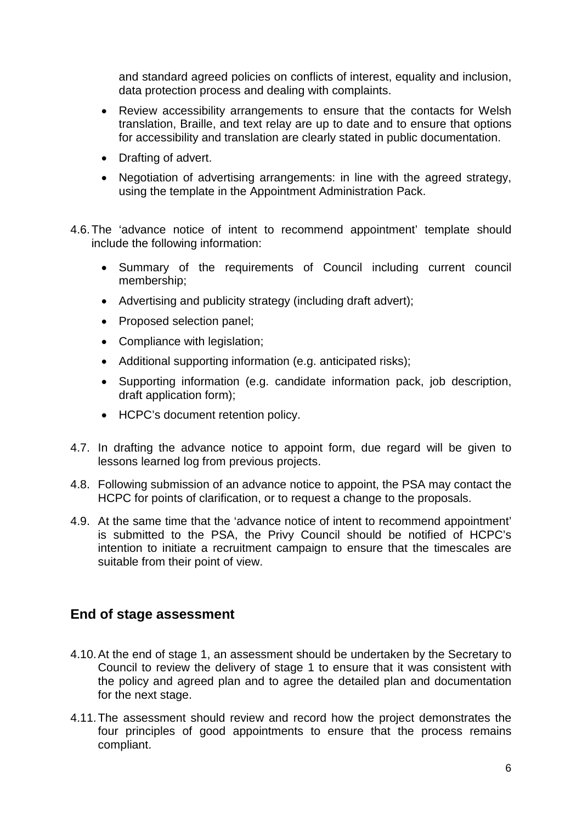and standard agreed policies on conflicts of interest, equality and inclusion, data protection process and dealing with complaints.

- Review accessibility arrangements to ensure that the contacts for Welsh translation, Braille, and text relay are up to date and to ensure that options for accessibility and translation are clearly stated in public documentation.
- Drafting of advert.
- Negotiation of advertising arrangements: in line with the agreed strategy, using the template in the Appointment Administration Pack.
- 4.6.The 'advance notice of intent to recommend appointment' template should include the following information:
	- Summary of the requirements of Council including current council membership;
	- Advertising and publicity strategy (including draft advert);
	- Proposed selection panel:
	- Compliance with legislation;
	- Additional supporting information (e.g. anticipated risks);
	- Supporting information (e.g. candidate information pack, job description, draft application form);
	- HCPC's document retention policy.
- 4.7. In drafting the advance notice to appoint form, due regard will be given to lessons learned log from previous projects.
- 4.8. Following submission of an advance notice to appoint, the PSA may contact the HCPC for points of clarification, or to request a change to the proposals.
- 4.9. At the same time that the 'advance notice of intent to recommend appointment' is submitted to the PSA, the Privy Council should be notified of HCPC's intention to initiate a recruitment campaign to ensure that the timescales are suitable from their point of view.

## **End of stage assessment**

- 4.10.At the end of stage 1, an assessment should be undertaken by the Secretary to Council to review the delivery of stage 1 to ensure that it was consistent with the policy and agreed plan and to agree the detailed plan and documentation for the next stage.
- 4.11.The assessment should review and record how the project demonstrates the four principles of good appointments to ensure that the process remains compliant.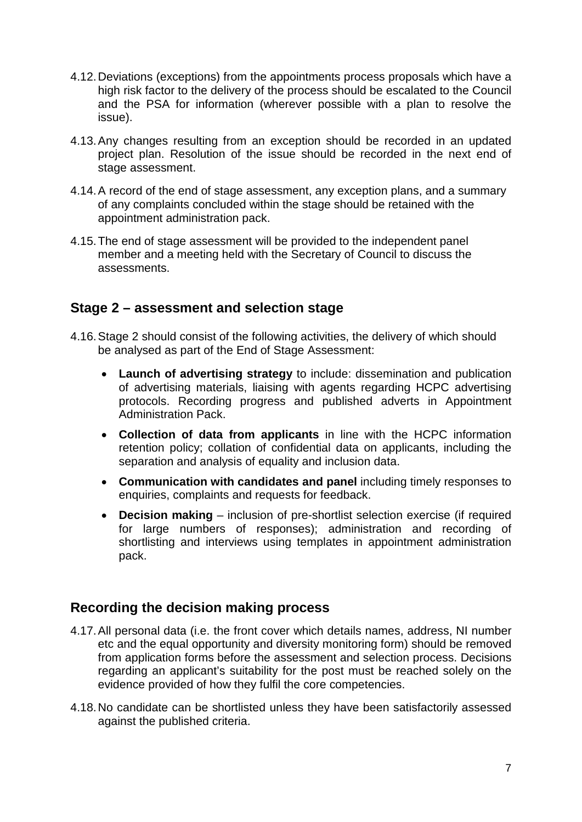- 4.12.Deviations (exceptions) from the appointments process proposals which have a high risk factor to the delivery of the process should be escalated to the Council and the PSA for information (wherever possible with a plan to resolve the issue).
- 4.13.Any changes resulting from an exception should be recorded in an updated project plan. Resolution of the issue should be recorded in the next end of stage assessment.
- 4.14.A record of the end of stage assessment, any exception plans, and a summary of any complaints concluded within the stage should be retained with the appointment administration pack.
- 4.15.The end of stage assessment will be provided to the independent panel member and a meeting held with the Secretary of Council to discuss the assessments.

## **Stage 2 – assessment and selection stage**

- 4.16.Stage 2 should consist of the following activities, the delivery of which should be analysed as part of the End of Stage Assessment:
	- **Launch of advertising strategy** to include: dissemination and publication of advertising materials, liaising with agents regarding HCPC advertising protocols. Recording progress and published adverts in Appointment Administration Pack.
	- **Collection of data from applicants** in line with the HCPC information retention policy; collation of confidential data on applicants, including the separation and analysis of equality and inclusion data.
	- **Communication with candidates and panel** including timely responses to enquiries, complaints and requests for feedback.
	- **Decision making** inclusion of pre-shortlist selection exercise (if required for large numbers of responses); administration and recording of shortlisting and interviews using templates in appointment administration pack.

## **Recording the decision making process**

- 4.17.All personal data (i.e. the front cover which details names, address, NI number etc and the equal opportunity and diversity monitoring form) should be removed from application forms before the assessment and selection process. Decisions regarding an applicant's suitability for the post must be reached solely on the evidence provided of how they fulfil the core competencies.
- 4.18.No candidate can be shortlisted unless they have been satisfactorily assessed against the published criteria.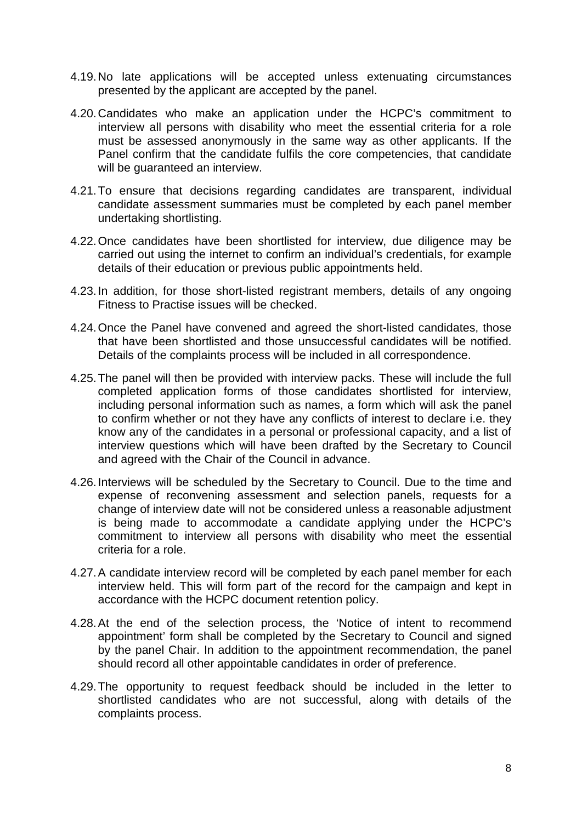- 4.19.No late applications will be accepted unless extenuating circumstances presented by the applicant are accepted by the panel.
- 4.20.Candidates who make an application under the HCPC's commitment to interview all persons with disability who meet the essential criteria for a role must be assessed anonymously in the same way as other applicants. If the Panel confirm that the candidate fulfils the core competencies, that candidate will be guaranteed an interview.
- 4.21.To ensure that decisions regarding candidates are transparent, individual candidate assessment summaries must be completed by each panel member undertaking shortlisting.
- 4.22.Once candidates have been shortlisted for interview, due diligence may be carried out using the internet to confirm an individual's credentials, for example details of their education or previous public appointments held.
- 4.23.In addition, for those short-listed registrant members, details of any ongoing Fitness to Practise issues will be checked.
- 4.24.Once the Panel have convened and agreed the short-listed candidates, those that have been shortlisted and those unsuccessful candidates will be notified. Details of the complaints process will be included in all correspondence.
- 4.25.The panel will then be provided with interview packs. These will include the full completed application forms of those candidates shortlisted for interview, including personal information such as names, a form which will ask the panel to confirm whether or not they have any conflicts of interest to declare i.e. they know any of the candidates in a personal or professional capacity, and a list of interview questions which will have been drafted by the Secretary to Council and agreed with the Chair of the Council in advance.
- 4.26.Interviews will be scheduled by the Secretary to Council. Due to the time and expense of reconvening assessment and selection panels, requests for a change of interview date will not be considered unless a reasonable adjustment is being made to accommodate a candidate applying under the HCPC's commitment to interview all persons with disability who meet the essential criteria for a role.
- 4.27.A candidate interview record will be completed by each panel member for each interview held. This will form part of the record for the campaign and kept in accordance with the HCPC document retention policy.
- 4.28.At the end of the selection process, the 'Notice of intent to recommend appointment' form shall be completed by the Secretary to Council and signed by the panel Chair. In addition to the appointment recommendation, the panel should record all other appointable candidates in order of preference.
- 4.29.The opportunity to request feedback should be included in the letter to shortlisted candidates who are not successful, along with details of the complaints process.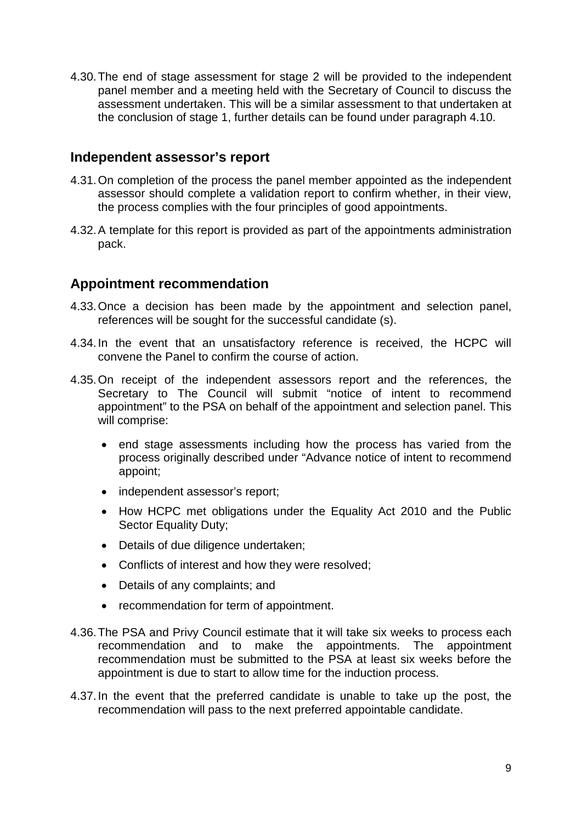4.30.The end of stage assessment for stage 2 will be provided to the independent panel member and a meeting held with the Secretary of Council to discuss the assessment undertaken. This will be a similar assessment to that undertaken at the conclusion of stage 1, further details can be found under paragraph 4.10.

#### **Independent assessor's report**

- 4.31.On completion of the process the panel member appointed as the independent assessor should complete a validation report to confirm whether, in their view, the process complies with the four principles of good appointments.
- 4.32.A template for this report is provided as part of the appointments administration pack.

## **Appointment recommendation**

- 4.33.Once a decision has been made by the appointment and selection panel, references will be sought for the successful candidate (s).
- 4.34.In the event that an unsatisfactory reference is received, the HCPC will convene the Panel to confirm the course of action.
- 4.35.On receipt of the independent assessors report and the references, the Secretary to The Council will submit "notice of intent to recommend appointment" to the PSA on behalf of the appointment and selection panel. This will comprise:
	- end stage assessments including how the process has varied from the process originally described under "Advance notice of intent to recommend appoint;
	- independent assessor's report;
	- How HCPC met obligations under the Equality Act 2010 and the Public Sector Equality Duty;
	- Details of due diligence undertaken;
	- Conflicts of interest and how they were resolved;
	- Details of any complaints; and
	- recommendation for term of appointment.
- 4.36.The PSA and Privy Council estimate that it will take six weeks to process each recommendation and to make the appointments. The appointment recommendation must be submitted to the PSA at least six weeks before the appointment is due to start to allow time for the induction process.
- 4.37.In the event that the preferred candidate is unable to take up the post, the recommendation will pass to the next preferred appointable candidate.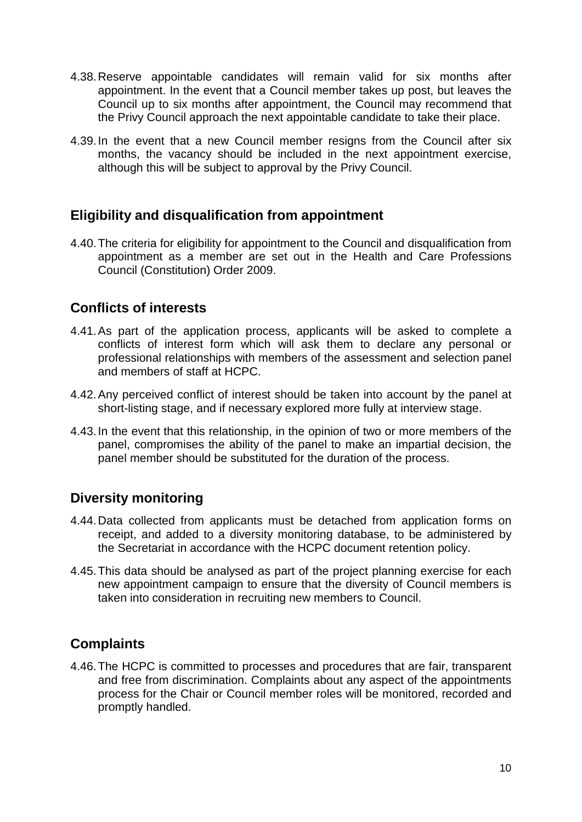- 4.38.Reserve appointable candidates will remain valid for six months after appointment. In the event that a Council member takes up post, but leaves the Council up to six months after appointment, the Council may recommend that the Privy Council approach the next appointable candidate to take their place.
- 4.39.In the event that a new Council member resigns from the Council after six months, the vacancy should be included in the next appointment exercise, although this will be subject to approval by the Privy Council.

## **Eligibility and disqualification from appointment**

4.40.The criteria for eligibility for appointment to the Council and disqualification from appointment as a member are set out in the Health and Care Professions Council (Constitution) Order 2009.

# **Conflicts of interests**

- 4.41.As part of the application process, applicants will be asked to complete a conflicts of interest form which will ask them to declare any personal or professional relationships with members of the assessment and selection panel and members of staff at HCPC.
- 4.42.Any perceived conflict of interest should be taken into account by the panel at short-listing stage, and if necessary explored more fully at interview stage.
- 4.43.In the event that this relationship, in the opinion of two or more members of the panel, compromises the ability of the panel to make an impartial decision, the panel member should be substituted for the duration of the process.

# **Diversity monitoring**

- 4.44.Data collected from applicants must be detached from application forms on receipt, and added to a diversity monitoring database, to be administered by the Secretariat in accordance with the HCPC document retention policy.
- 4.45.This data should be analysed as part of the project planning exercise for each new appointment campaign to ensure that the diversity of Council members is taken into consideration in recruiting new members to Council.

# **Complaints**

4.46.The HCPC is committed to processes and procedures that are fair, transparent and free from discrimination. Complaints about any aspect of the appointments process for the Chair or Council member roles will be monitored, recorded and promptly handled.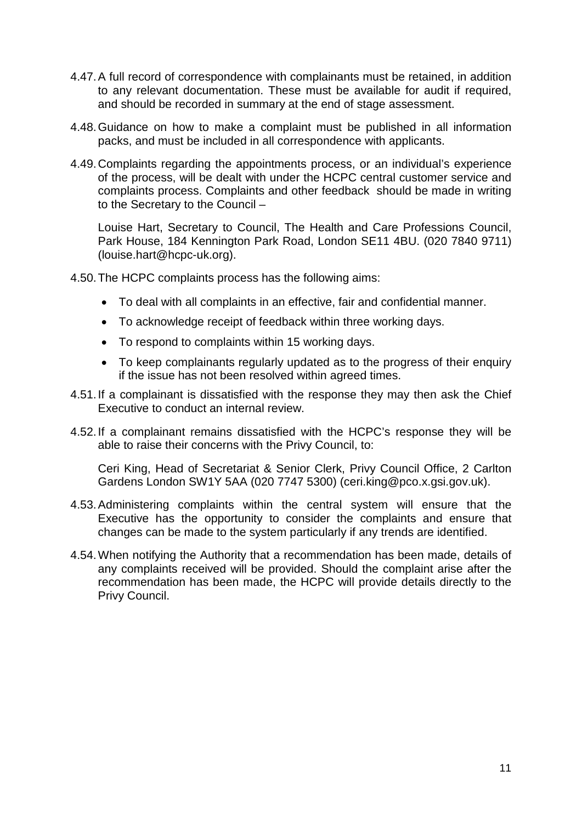- 4.47.A full record of correspondence with complainants must be retained, in addition to any relevant documentation. These must be available for audit if required, and should be recorded in summary at the end of stage assessment.
- 4.48.Guidance on how to make a complaint must be published in all information packs, and must be included in all correspondence with applicants.
- 4.49.Complaints regarding the appointments process, or an individual's experience of the process, will be dealt with under the HCPC central customer service and complaints process. Complaints and other feedback should be made in writing to the Secretary to the Council –

Louise Hart, Secretary to Council, The Health and Care Professions Council, Park House, 184 Kennington Park Road, London SE11 4BU. (020 7840 9711) (louise.hart@hcpc-uk.org).

4.50.The HCPC complaints process has the following aims:

- To deal with all complaints in an effective, fair and confidential manner.
- To acknowledge receipt of feedback within three working days.
- To respond to complaints within 15 working days.
- To keep complainants regularly updated as to the progress of their enquiry if the issue has not been resolved within agreed times.
- 4.51.If a complainant is dissatisfied with the response they may then ask the Chief Executive to conduct an internal review.
- 4.52.If a complainant remains dissatisfied with the HCPC's response they will be able to raise their concerns with the Privy Council, to:

Ceri King, Head of Secretariat & Senior Clerk, Privy Council Office, 2 Carlton Gardens London SW1Y 5AA (020 7747 5300) (ceri.king@pco.x.gsi.gov.uk).

- 4.53.Administering complaints within the central system will ensure that the Executive has the opportunity to consider the complaints and ensure that changes can be made to the system particularly if any trends are identified.
- 4.54.When notifying the Authority that a recommendation has been made, details of any complaints received will be provided. Should the complaint arise after the recommendation has been made, the HCPC will provide details directly to the Privy Council.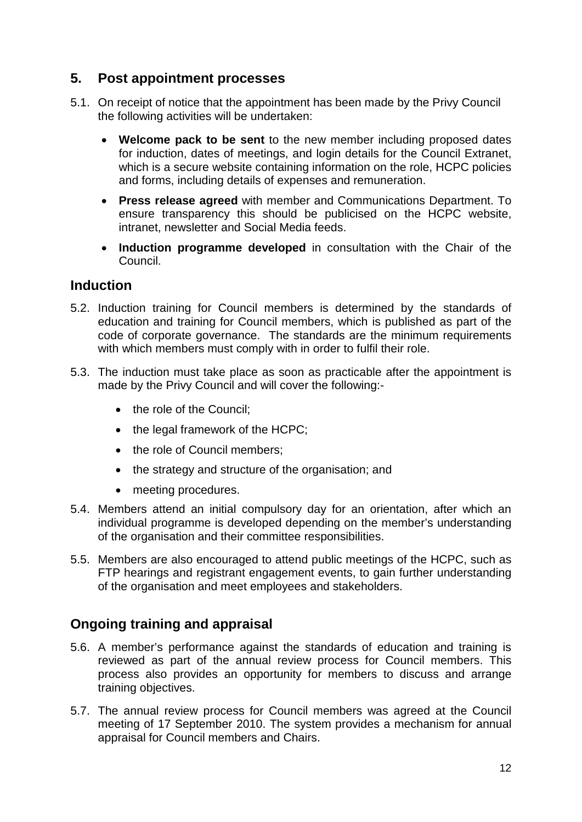# **5. Post appointment processes**

- 5.1. On receipt of notice that the appointment has been made by the Privy Council the following activities will be undertaken:
	- **Welcome pack to be sent** to the new member including proposed dates for induction, dates of meetings, and login details for the Council Extranet, which is a secure website containing information on the role, HCPC policies and forms, including details of expenses and remuneration.
	- **Press release agreed** with member and Communications Department. To ensure transparency this should be publicised on the HCPC website, intranet, newsletter and Social Media feeds.
	- **Induction programme developed** in consultation with the Chair of the Council.

## **Induction**

- 5.2. Induction training for Council members is determined by the standards of education and training for Council members, which is published as part of the code of corporate governance. The standards are the minimum requirements with which members must comply with in order to fulfil their role.
- 5.3. The induction must take place as soon as practicable after the appointment is made by the Privy Council and will cover the following:-
	- the role of the Council;
	- the legal framework of the HCPC;
	- the role of Council members;
	- the strategy and structure of the organisation; and
	- meeting procedures.
- 5.4. Members attend an initial compulsory day for an orientation, after which an individual programme is developed depending on the member's understanding of the organisation and their committee responsibilities.
- 5.5. Members are also encouraged to attend public meetings of the HCPC, such as FTP hearings and registrant engagement events, to gain further understanding of the organisation and meet employees and stakeholders.

# **Ongoing training and appraisal**

- 5.6. A member's performance against the standards of education and training is reviewed as part of the annual review process for Council members. This process also provides an opportunity for members to discuss and arrange training objectives.
- 5.7. The annual review process for Council members was agreed at the Council meeting of 17 September 2010. The system provides a mechanism for annual appraisal for Council members and Chairs.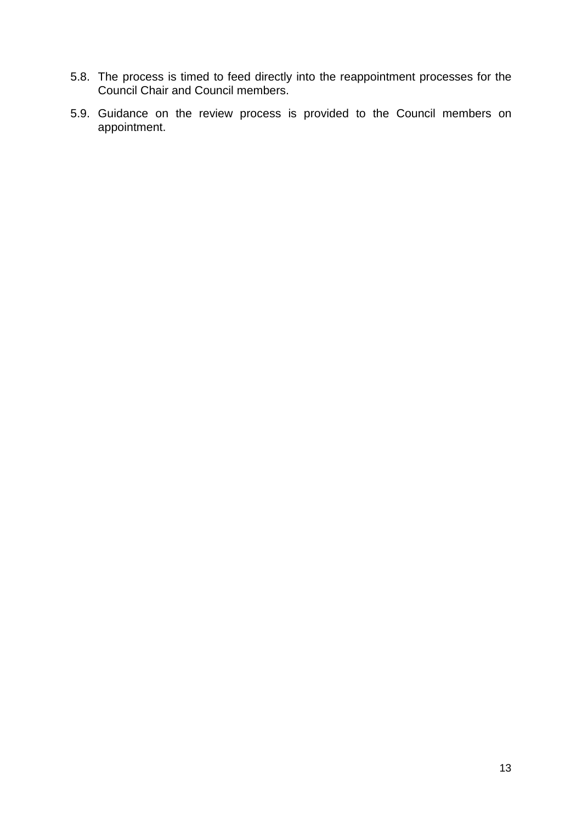- 5.8. The process is timed to feed directly into the reappointment processes for the Council Chair and Council members.
- 5.9. Guidance on the review process is provided to the Council members on appointment.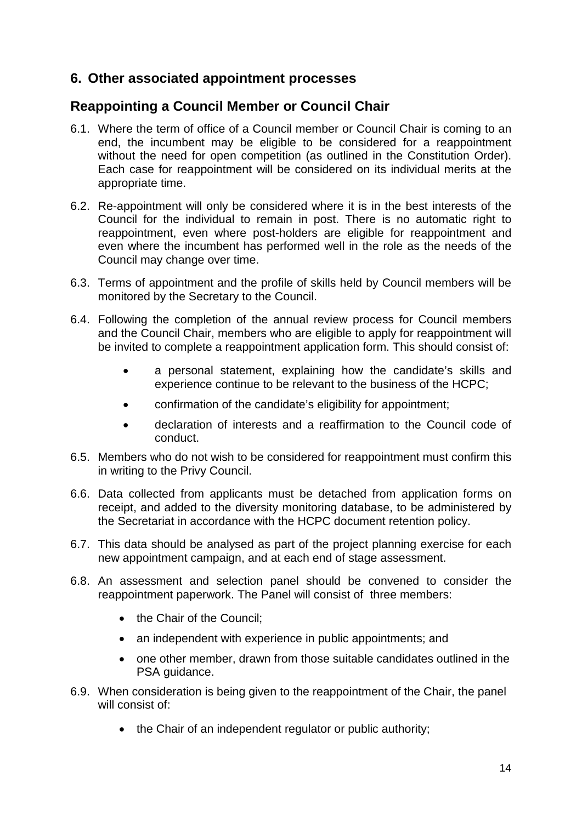## **6. Other associated appointment processes**

## **Reappointing a Council Member or Council Chair**

- 6.1. Where the term of office of a Council member or Council Chair is coming to an end, the incumbent may be eligible to be considered for a reappointment without the need for open competition (as outlined in the Constitution Order). Each case for reappointment will be considered on its individual merits at the appropriate time.
- 6.2. Re-appointment will only be considered where it is in the best interests of the Council for the individual to remain in post. There is no automatic right to reappointment, even where post-holders are eligible for reappointment and even where the incumbent has performed well in the role as the needs of the Council may change over time.
- 6.3. Terms of appointment and the profile of skills held by Council members will be monitored by the Secretary to the Council.
- 6.4. Following the completion of the annual review process for Council members and the Council Chair, members who are eligible to apply for reappointment will be invited to complete a reappointment application form. This should consist of:
	- a personal statement, explaining how the candidate's skills and experience continue to be relevant to the business of the HCPC;
	- confirmation of the candidate's eligibility for appointment;
	- declaration of interests and a reaffirmation to the Council code of conduct.
- 6.5. Members who do not wish to be considered for reappointment must confirm this in writing to the Privy Council.
- 6.6. Data collected from applicants must be detached from application forms on receipt, and added to the diversity monitoring database, to be administered by the Secretariat in accordance with the HCPC document retention policy.
- 6.7. This data should be analysed as part of the project planning exercise for each new appointment campaign, and at each end of stage assessment.
- 6.8. An assessment and selection panel should be convened to consider the reappointment paperwork. The Panel will consist of three members:
	- the Chair of the Council;
	- an independent with experience in public appointments; and
	- one other member, drawn from those suitable candidates outlined in the PSA guidance.
- 6.9. When consideration is being given to the reappointment of the Chair, the panel will consist of:
	- the Chair of an independent regulator or public authority;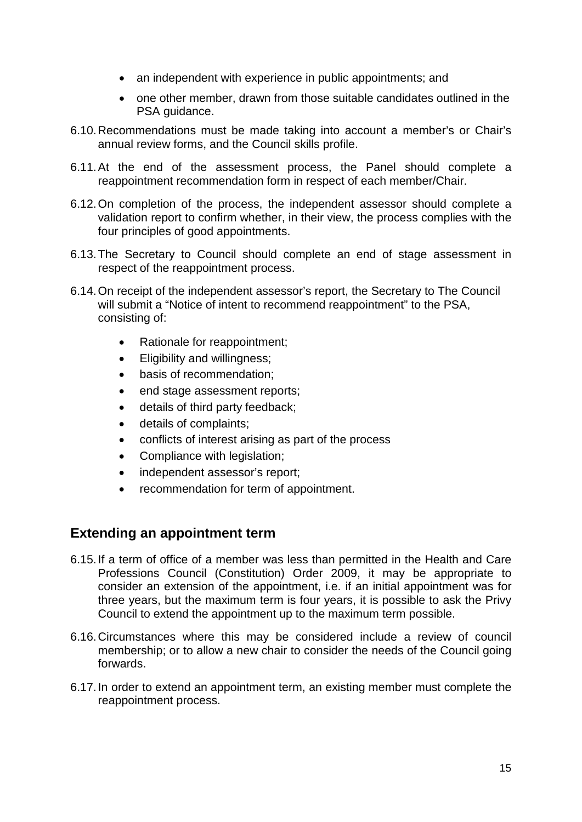- an independent with experience in public appointments; and
- one other member, drawn from those suitable candidates outlined in the PSA guidance.
- 6.10.Recommendations must be made taking into account a member's or Chair's annual review forms, and the Council skills profile.
- 6.11.At the end of the assessment process, the Panel should complete a reappointment recommendation form in respect of each member/Chair.
- 6.12.On completion of the process, the independent assessor should complete a validation report to confirm whether, in their view, the process complies with the four principles of good appointments.
- 6.13.The Secretary to Council should complete an end of stage assessment in respect of the reappointment process.
- 6.14.On receipt of the independent assessor's report, the Secretary to The Council will submit a "Notice of intent to recommend reappointment" to the PSA, consisting of:
	- Rationale for reappointment;
	- Eligibility and willingness;
	- basis of recommendation;
	- end stage assessment reports;
	- details of third party feedback;
	- details of complaints;
	- conflicts of interest arising as part of the process
	- Compliance with legislation;
	- independent assessor's report;
	- recommendation for term of appointment.

# **Extending an appointment term**

- 6.15.If a term of office of a member was less than permitted in the Health and Care Professions Council (Constitution) Order 2009, it may be appropriate to consider an extension of the appointment, i.e. if an initial appointment was for three years, but the maximum term is four years, it is possible to ask the Privy Council to extend the appointment up to the maximum term possible.
- 6.16.Circumstances where this may be considered include a review of council membership; or to allow a new chair to consider the needs of the Council going forwards.
- 6.17.In order to extend an appointment term, an existing member must complete the reappointment process.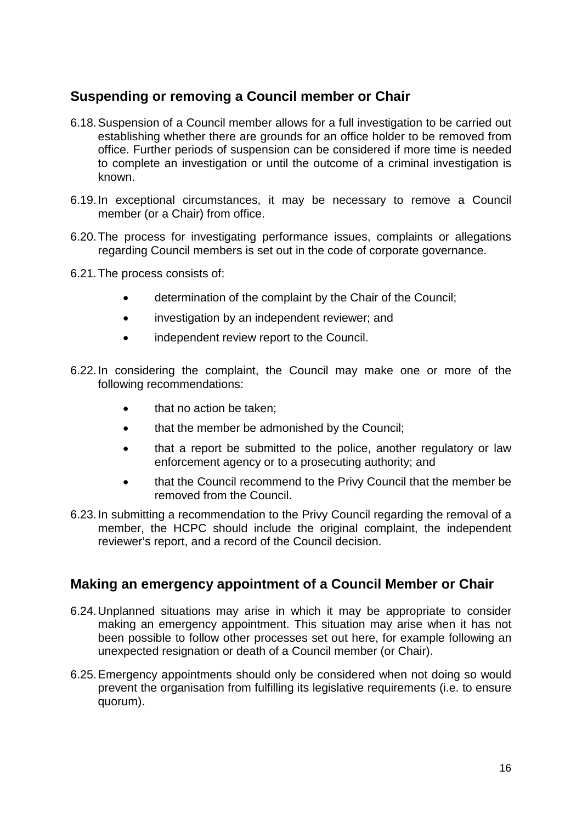# **Suspending or removing a Council member or Chair**

- 6.18.Suspension of a Council member allows for a full investigation to be carried out establishing whether there are grounds for an office holder to be removed from office. Further periods of suspension can be considered if more time is needed to complete an investigation or until the outcome of a criminal investigation is known.
- 6.19.In exceptional circumstances, it may be necessary to remove a Council member (or a Chair) from office.
- 6.20.The process for investigating performance issues, complaints or allegations regarding Council members is set out in the code of corporate governance.
- 6.21.The process consists of:
	- determination of the complaint by the Chair of the Council;
	- investigation by an independent reviewer; and
	- independent review report to the Council.
- 6.22.In considering the complaint, the Council may make one or more of the following recommendations:
	- that no action be taken;
	- that the member be admonished by the Council;
	- that a report be submitted to the police, another regulatory or law enforcement agency or to a prosecuting authority; and
	- that the Council recommend to the Privy Council that the member be removed from the Council.
- 6.23.In submitting a recommendation to the Privy Council regarding the removal of a member, the HCPC should include the original complaint, the independent reviewer's report, and a record of the Council decision.

## **Making an emergency appointment of a Council Member or Chair**

- 6.24.Unplanned situations may arise in which it may be appropriate to consider making an emergency appointment. This situation may arise when it has not been possible to follow other processes set out here, for example following an unexpected resignation or death of a Council member (or Chair).
- 6.25.Emergency appointments should only be considered when not doing so would prevent the organisation from fulfilling its legislative requirements (i.e. to ensure quorum).